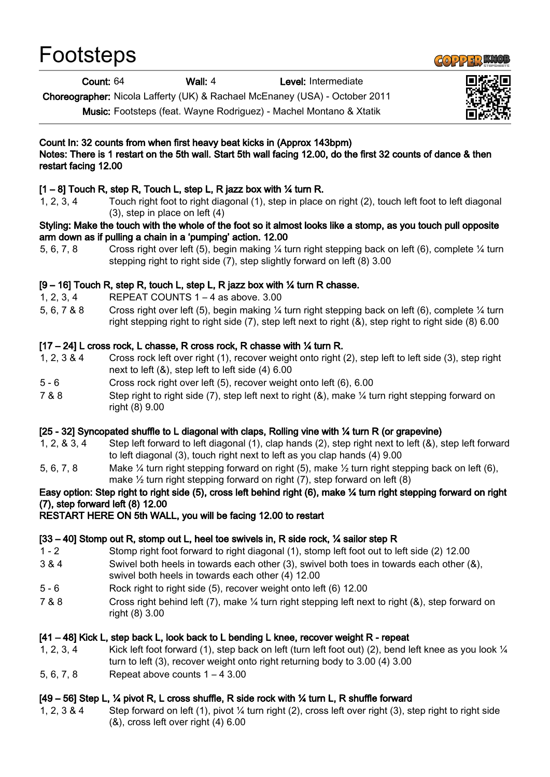| Footsteps |
|-----------|
|-----------|



Count: 64 Wall: 4 Level: Intermediate

Choreographer: Nicola Lafferty (UK) & Rachael McEnaney (USA) - October 2011

Music: Footsteps (feat. Wayne Rodriguez) - Machel Montano & Xtatik

# Count In: 32 counts from when first heavy beat kicks in (Approx 143bpm)

## Notes: There is 1 restart on the 5th wall. Start 5th wall facing 12.00, do the first 32 counts of dance & then restart facing 12.00

# $[1 - 8]$  Touch R, step R, Touch L, step L, R jazz box with  $\frac{1}{4}$  turn R.

1, 2, 3, 4 Touch right foot to right diagonal (1), step in place on right (2), touch left foot to left diagonal (3), step in place on left (4)

#### Styling: Make the touch with the whole of the foot so it almost looks like a stomp, as you touch pull opposite arm down as if pulling a chain in a 'pumping' action. 12.00

5, 6, 7, 8 Cross right over left (5), begin making ¼ turn right stepping back on left (6), complete ¼ turn stepping right to right side (7), step slightly forward on left (8) 3.00

## $[9 - 16]$  Touch R, step R, touch L, step L, R jazz box with  $\frac{1}{4}$  turn R chasse.

- 1, 2, 3, 4 REPEAT COUNTS 1 4 as above. 3.00
- 5, 6, 7 & 8 Cross right over left (5), begin making ¼ turn right stepping back on left (6), complete ¼ turn right stepping right to right side (7), step left next to right (&), step right to right side (8) 6.00

## [17 – 24] L cross rock, L chasse, R cross rock, R chasse with ¼ turn R.

- 1, 2, 3 & 4 Cross rock left over right (1), recover weight onto right (2), step left to left side (3), step right next to left (&), step left to left side (4) 6.00
- 5 6 Cross rock right over left (5), recover weight onto left (6), 6.00
- 7 & 8 Step right to right side (7), step left next to right (&), make ¼ turn right stepping forward on right (8) 9.00

### [25 - 32] Syncopated shuffle to L diagonal with claps, Rolling vine with ¼ turn R (or grapevine)

- 1, 2, & 3, 4 Step left forward to left diagonal (1), clap hands (2), step right next to left (&), step left forward to left diagonal (3), touch right next to left as you clap hands (4) 9.00
- 5, 6, 7, 8 Make ¼ turn right stepping forward on right (5), make ½ turn right stepping back on left (6), make  $\frac{1}{2}$  turn right stepping forward on right (7), step forward on left (8)

# Easy option: Step right to right side (5), cross left behind right (6), make ¼ turn right stepping forward on right (7), step forward left (8) 12.00

### RESTART HERE ON 5th WALL, you will be facing 12.00 to restart

### [33 – 40] Stomp out R, stomp out L, heel toe swivels in, R side rock, ¼ sailor step R

- 1 2 Stomp right foot forward to right diagonal (1), stomp left foot out to left side (2) 12.00
- 3 & 4 Swivel both heels in towards each other (3), swivel both toes in towards each other (&), swivel both heels in towards each other (4) 12.00
- 5 6 Rock right to right side (5), recover weight onto left (6) 12.00
- 7 & 8 Cross right behind left (7), make ¼ turn right stepping left next to right (&), step forward on right (8) 3.00

# [41 – 48] Kick L, step back L, look back to L bending L knee, recover weight R - repeat

- 1, 2, 3, 4 Kick left foot forward (1), step back on left (turn left foot out) (2), bend left knee as you look ¼ turn to left (3), recover weight onto right returning body to 3.00 (4) 3.00
- 5, 6, 7, 8 Repeat above counts 1 4 3.00

# [49 – 56] Step L, ¼ pivot R, L cross shuffle, R side rock with ¼ turn L, R shuffle forward

1, 2, 3 & 4 Step forward on left (1), pivot ¼ turn right (2), cross left over right (3), step right to right side (&), cross left over right (4) 6.00